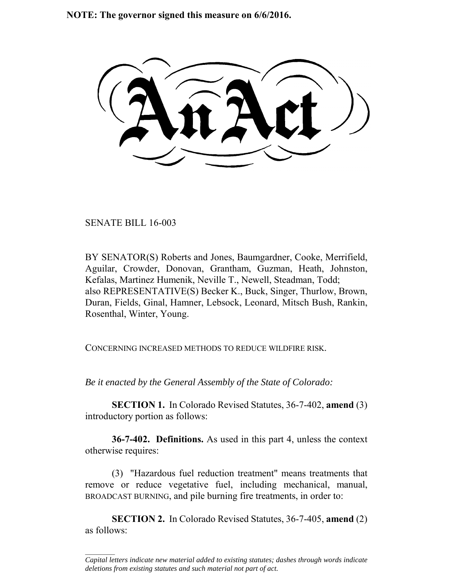**NOTE: The governor signed this measure on 6/6/2016.**

SENATE BILL 16-003

 $\frac{1}{2}$ 

BY SENATOR(S) Roberts and Jones, Baumgardner, Cooke, Merrifield, Aguilar, Crowder, Donovan, Grantham, Guzman, Heath, Johnston, Kefalas, Martinez Humenik, Neville T., Newell, Steadman, Todd; also REPRESENTATIVE(S) Becker K., Buck, Singer, Thurlow, Brown, Duran, Fields, Ginal, Hamner, Lebsock, Leonard, Mitsch Bush, Rankin, Rosenthal, Winter, Young.

CONCERNING INCREASED METHODS TO REDUCE WILDFIRE RISK.

*Be it enacted by the General Assembly of the State of Colorado:*

**SECTION 1.** In Colorado Revised Statutes, 36-7-402, **amend** (3) introductory portion as follows:

**36-7-402. Definitions.** As used in this part 4, unless the context otherwise requires:

(3) "Hazardous fuel reduction treatment" means treatments that remove or reduce vegetative fuel, including mechanical, manual, BROADCAST BURNING, and pile burning fire treatments, in order to:

**SECTION 2.** In Colorado Revised Statutes, 36-7-405, **amend** (2) as follows:

*Capital letters indicate new material added to existing statutes; dashes through words indicate deletions from existing statutes and such material not part of act.*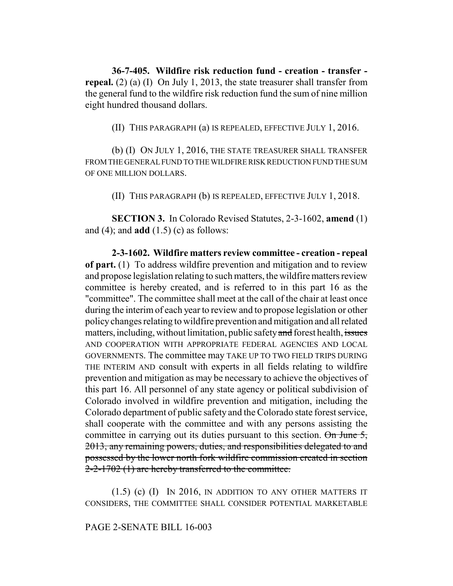**36-7-405. Wildfire risk reduction fund - creation - transfer repeal.** (2) (a) (I) On July 1, 2013, the state treasurer shall transfer from the general fund to the wildfire risk reduction fund the sum of nine million eight hundred thousand dollars.

(II) THIS PARAGRAPH (a) IS REPEALED, EFFECTIVE JULY 1, 2016.

(b) (I) ON JULY 1, 2016, THE STATE TREASURER SHALL TRANSFER FROM THE GENERAL FUND TO THE WILDFIRE RISK REDUCTION FUND THE SUM OF ONE MILLION DOLLARS.

(II) THIS PARAGRAPH (b) IS REPEALED, EFFECTIVE JULY 1, 2018.

**SECTION 3.** In Colorado Revised Statutes, 2-3-1602, **amend** (1) and (4); and **add** (1.5) (c) as follows:

**2-3-1602. Wildfire matters review committee - creation - repeal of part.** (1) To address wildfire prevention and mitigation and to review and propose legislation relating to such matters, the wildfire matters review committee is hereby created, and is referred to in this part 16 as the "committee". The committee shall meet at the call of the chair at least once during the interim of each year to review and to propose legislation or other policy changes relating to wildfire prevention and mitigation and all related matters, including, without limitation, public safety and forest health, issues AND COOPERATION WITH APPROPRIATE FEDERAL AGENCIES AND LOCAL GOVERNMENTS. The committee may TAKE UP TO TWO FIELD TRIPS DURING THE INTERIM AND consult with experts in all fields relating to wildfire prevention and mitigation as may be necessary to achieve the objectives of this part 16. All personnel of any state agency or political subdivision of Colorado involved in wildfire prevention and mitigation, including the Colorado department of public safety and the Colorado state forest service, shall cooperate with the committee and with any persons assisting the committee in carrying out its duties pursuant to this section.  $\Theta n$  June 5, 2013, any remaining powers, duties, and responsibilities delegated to and possessed by the lower north fork wildfire commission created in section 2-2-1702 (1) are hereby transferred to the committee.

(1.5) (c) (I) IN 2016, IN ADDITION TO ANY OTHER MATTERS IT CONSIDERS, THE COMMITTEE SHALL CONSIDER POTENTIAL MARKETABLE

## PAGE 2-SENATE BILL 16-003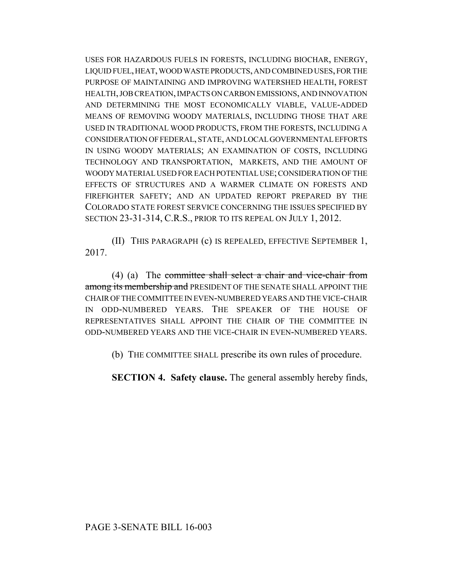USES FOR HAZARDOUS FUELS IN FORESTS, INCLUDING BIOCHAR, ENERGY, LIQUID FUEL, HEAT, WOOD WASTE PRODUCTS, AND COMBINED USES, FOR THE PURPOSE OF MAINTAINING AND IMPROVING WATERSHED HEALTH, FOREST HEALTH, JOB CREATION, IMPACTS ON CARBON EMISSIONS, AND INNOVATION AND DETERMINING THE MOST ECONOMICALLY VIABLE, VALUE-ADDED MEANS OF REMOVING WOODY MATERIALS, INCLUDING THOSE THAT ARE USED IN TRADITIONAL WOOD PRODUCTS, FROM THE FORESTS, INCLUDING A CONSIDERATION OF FEDERAL, STATE, AND LOCAL GOVERNMENTAL EFFORTS IN USING WOODY MATERIALS; AN EXAMINATION OF COSTS, INCLUDING TECHNOLOGY AND TRANSPORTATION, MARKETS, AND THE AMOUNT OF WOODY MATERIAL USED FOR EACH POTENTIAL USE; CONSIDERATION OF THE EFFECTS OF STRUCTURES AND A WARMER CLIMATE ON FORESTS AND FIREFIGHTER SAFETY; AND AN UPDATED REPORT PREPARED BY THE COLORADO STATE FOREST SERVICE CONCERNING THE ISSUES SPECIFIED BY SECTION 23-31-314, C.R.S., PRIOR TO ITS REPEAL ON JULY 1, 2012.

(II) THIS PARAGRAPH (c) IS REPEALED, EFFECTIVE SEPTEMBER 1, 2017.

(4) (a) The committee shall select a chair and vice-chair from among its membership and PRESIDENT OF THE SENATE SHALL APPOINT THE CHAIR OF THE COMMITTEE IN EVEN-NUMBERED YEARS AND THE VICE-CHAIR IN ODD-NUMBERED YEARS. THE SPEAKER OF THE HOUSE OF REPRESENTATIVES SHALL APPOINT THE CHAIR OF THE COMMITTEE IN ODD-NUMBERED YEARS AND THE VICE-CHAIR IN EVEN-NUMBERED YEARS.

(b) THE COMMITTEE SHALL prescribe its own rules of procedure.

**SECTION 4. Safety clause.** The general assembly hereby finds,